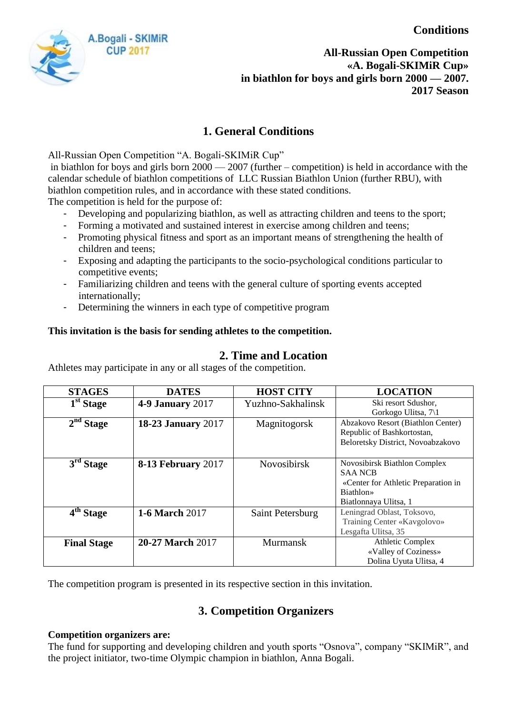**Conditions**



**All-Russian Open Competition «A. Bogali-SKIMiR Cup» in biathlon for boys and girls born 2000 — 2007. 2017 Season**

# **1. General Conditions**

All-Russian Open Competition "A. Bogali-SKIMiR Cup"

in biathlon for boys and girls born 2000 — 2007 (further – competition) is held in accordance with the calendar schedule of biathlon competitions of LLC Russian Biathlon Union (further RBU), with biathlon competition rules, and in accordance with these stated conditions.

The competition is held for the purpose of:

- Developing and popularizing biathlon, as well as attracting children and teens to the sport;
- Forming a motivated and sustained interest in exercise among children and teens;
- Promoting physical fitness and sport as an important means of strengthening the health of children and teens;
- Exposing and adapting the participants to the socio-psychological conditions particular to competitive events;
- Familiarizing children and teens with the general culture of sporting events accepted internationally;
- Determining the winners in each type of competitive program

## **This invitation is the basis for sending athletes to the competition.**

## **2. Time and Location**

Athletes may participate in any or all stages of the competition.

| <b>STAGES</b>                 | <b>DATES</b>              | <b>HOST CITY</b>   | <b>LOCATION</b>                     |
|-------------------------------|---------------------------|--------------------|-------------------------------------|
| $\overline{1}^{\rm st}$ Stage | <b>4-9 January 2017</b>   | Yuzhno-Sakhalinsk  | Ski resort Sdushor,                 |
|                               |                           |                    | Gorkogo Ulitsa, 7\1                 |
| 2 <sup>nd</sup> Stage         | <b>18-23 January 2017</b> | Magnitogorsk       | Abzakovo Resort (Biathlon Center)   |
|                               |                           |                    | Republic of Bashkortostan,          |
|                               |                           |                    | Beloretsky District, Novoabzakovo   |
|                               |                           |                    |                                     |
| $3rd$ Stage                   | <b>8-13 February 2017</b> | <b>Novosibirsk</b> | Novosibirsk Biathlon Complex        |
|                               |                           |                    | <b>SAA NCB</b>                      |
|                               |                           |                    | «Center for Athletic Preparation in |
|                               |                           |                    | Biathlon»                           |
|                               |                           |                    | Biatlonnaya Ulitsa, 1               |
| 4 <sup>th</sup> Stage         | <b>1-6 March 2017</b>     | Saint Petersburg   | Leningrad Oblast, Toksovo,          |
|                               |                           |                    | Training Center «Kavgolovo»         |
|                               |                           |                    | Lesgafta Ulitsa, 35                 |
| <b>Final Stage</b>            | <b>20-27 March 2017</b>   | <b>Murmansk</b>    | <b>Athletic Complex</b>             |
|                               |                           |                    | «Valley of Coziness»                |
|                               |                           |                    | Dolina Uyuta Ulitsa, 4              |

The competition program is presented in its respective section in this invitation.

# **3. Competition Organizers**

#### **Competition organizers are:**

The fund for supporting and developing children and youth sports "Osnova", company "SKIMiR", and the project initiator, two-time Olympic champion in biathlon, Anna Bogali.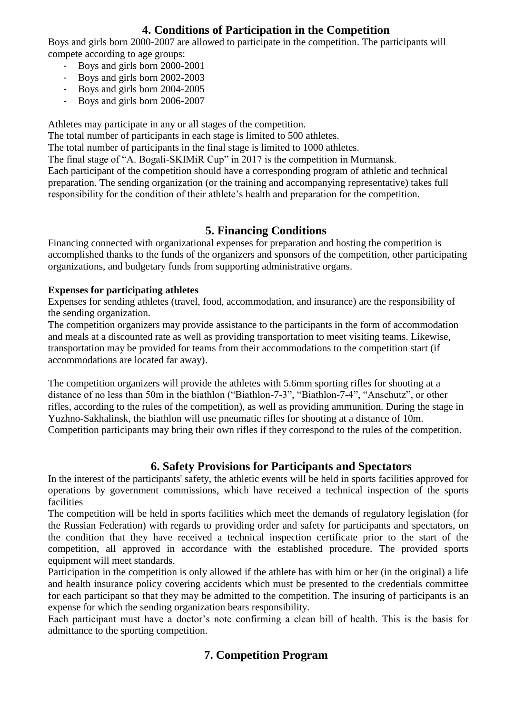## **4. Conditions of Participation in the Competition**

Boys and girls born 2000-2007 are allowed to participate in the competition. The participants will compete according to age groups:

- Boys and girls born 2000-2001
- Boys and girls born 2002-2003
- Boys and girls born 2004-2005
- Boys and girls born 2006-2007

Athletes may participate in any or all stages of the competition.

The total number of participants in each stage is limited to 500 athletes.

The total number of participants in the final stage is limited to 1000 athletes.

The final stage of "A. Bogali-SKIMiR Cup" in 2017 is the competition in Murmansk.

Each participant of the competition should have a corresponding program of athletic and technical preparation. The sending organization (or the training and accompanying representative) takes full responsibility for the condition of their athlete's health and preparation for the competition.

## **5. Financing Conditions**

Financing connected with organizational expenses for preparation and hosting the competition is accomplished thanks to the funds of the organizers and sponsors of the competition, other participating organizations, and budgetary funds from supporting administrative organs.

## **Expenses for participating athletes**

Expenses for sending athletes (travel, food, accommodation, and insurance) are the responsibility of the sending organization.

The competition organizers may provide assistance to the participants in the form of accommodation and meals at a discounted rate as well as providing transportation to meet visiting teams. Likewise, transportation may be provided for teams from their accommodations to the competition start (if accommodations are located far away).

The competition organizers will provide the athletes with 5.6mm sporting rifles for shooting at a distance of no less than 50m in the biathlon ("Biathlon-7-3", "Biathlon-7-4", "Anschutz", or other rifles, according to the rules of the competition), as well as providing ammunition. During the stage in Yuzhno-Sakhalinsk, the biathlon will use pneumatic rifles for shooting at a distance of 10m. Competition participants may bring their own rifles if they correspond to the rules of the competition.

## **6. Safety Provisions for Participants and Spectators**

In the interest of the participants' safety, the athletic events will be held in sports facilities approved for operations by government commissions, which have received a technical inspection of the sports facilities

The competition will be held in sports facilities which meet the demands of regulatory legislation (for the Russian Federation) with regards to providing order and safety for participants and spectators, on the condition that they have received a technical inspection certificate prior to the start of the competition, all approved in accordance with the established procedure. The provided sports equipment will meet standards.

Participation in the competition is only allowed if the athlete has with him or her (in the original) a life and health insurance policy covering accidents which must be presented to the credentials committee for each participant so that they may be admitted to the competition. The insuring of participants is an expense for which the sending organization bears responsibility.

Each participant must have a doctor's note confirming a clean bill of health. This is the basis for admittance to the sporting competition.

# **7. Competition Program**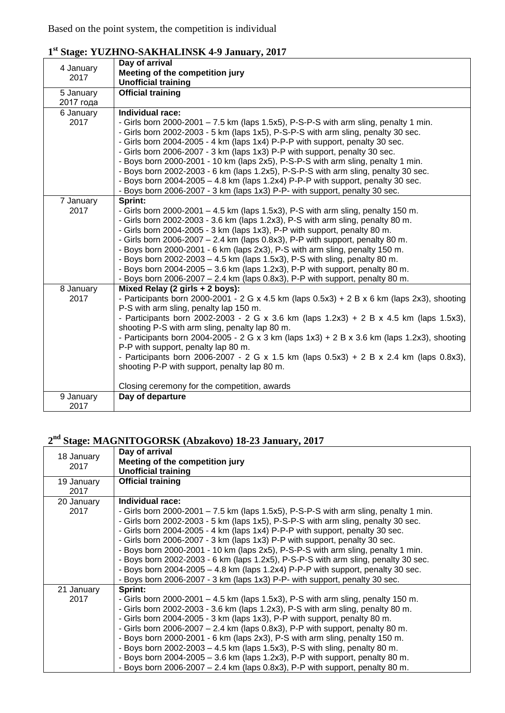| 4 January | Day of arrival                                                                              |  |  |  |  |
|-----------|---------------------------------------------------------------------------------------------|--|--|--|--|
| 2017      | Meeting of the competition jury                                                             |  |  |  |  |
|           | <b>Unofficial training</b>                                                                  |  |  |  |  |
| 5 January | <b>Official training</b>                                                                    |  |  |  |  |
| 2017 года |                                                                                             |  |  |  |  |
| 6 January | Individual race:                                                                            |  |  |  |  |
| 2017      | - Girls born 2000-2001 - 7.5 km (laps 1.5x5), P-S-P-S with arm sling, penalty 1 min.        |  |  |  |  |
|           | - Girls born 2002-2003 - 5 km (laps 1x5), P-S-P-S with arm sling, penalty 30 sec.           |  |  |  |  |
|           | - Girls born 2004-2005 - 4 km (laps 1x4) P-P-P with support, penalty 30 sec.                |  |  |  |  |
|           | - Girls born 2006-2007 - 3 km (laps 1x3) P-P with support, penalty 30 sec.                  |  |  |  |  |
|           | - Boys born 2000-2001 - 10 km (laps 2x5), P-S-P-S with arm sling, penalty 1 min.            |  |  |  |  |
|           | - Boys born 2002-2003 - 6 km (laps 1.2x5), P-S-P-S with arm sling, penalty 30 sec.          |  |  |  |  |
|           | - Boys born 2004-2005 - 4.8 km (laps 1.2x4) P-P-P with support, penalty 30 sec.             |  |  |  |  |
|           | - Boys born 2006-2007 - 3 km (laps 1x3) P-P- with support, penalty 30 sec.                  |  |  |  |  |
|           | Sprint:                                                                                     |  |  |  |  |
| 7 January |                                                                                             |  |  |  |  |
| 2017      | - Girls born 2000-2001 $-4.5$ km (laps 1.5x3), P-S with arm sling, penalty 150 m.           |  |  |  |  |
|           | - Girls born 2002-2003 - 3.6 km (laps 1.2x3), P-S with arm sling, penalty 80 m.             |  |  |  |  |
|           | - Girls born 2004-2005 - 3 km (laps 1x3), P-P with support, penalty 80 m.                   |  |  |  |  |
|           | - Girls born 2006-2007 - 2.4 km (laps 0.8x3), P-P with support, penalty 80 m.               |  |  |  |  |
|           | - Boys born 2000-2001 - 6 km (laps 2x3), P-S with arm sling, penalty 150 m.                 |  |  |  |  |
|           | - Boys born 2002-2003 - 4.5 km (laps 1.5x3), P-S with sling, penalty 80 m.                  |  |  |  |  |
|           | - Boys born 2004-2005 - 3.6 km (laps 1.2x3), P-P with support, penalty 80 m.                |  |  |  |  |
|           | - Boys born 2006-2007 $-$ 2.4 km (laps 0.8x3), P-P with support, penalty 80 m.              |  |  |  |  |
| 8 January | Mixed Relay (2 girls + 2 boys):                                                             |  |  |  |  |
| 2017      | - Participants born 2000-2001 - 2 G x 4.5 km (laps 0.5x3) + 2 B x 6 km (laps 2x3), shooting |  |  |  |  |
|           | P-S with arm sling, penalty lap 150 m.                                                      |  |  |  |  |
|           | - Participants born 2002-2003 - 2 G x 3.6 km (laps 1.2x3) + 2 B x 4.5 km (laps 1.5x3),      |  |  |  |  |
|           | shooting P-S with arm sling, penalty lap 80 m.                                              |  |  |  |  |
|           | - Participants born 2004-2005 - 2 G x 3 km (laps 1x3) + 2 B x 3.6 km (laps 1.2x3), shooting |  |  |  |  |
|           | P-P with support, penalty lap 80 m.                                                         |  |  |  |  |
|           | - Participants born 2006-2007 - 2 G x 1.5 km (laps 0.5x3) + 2 B x 2.4 km (laps 0.8x3),      |  |  |  |  |
|           | shooting P-P with support, penalty lap 80 m.                                                |  |  |  |  |
|           |                                                                                             |  |  |  |  |
|           | Closing ceremony for the competition, awards                                                |  |  |  |  |
| 9 January | Day of departure                                                                            |  |  |  |  |
| 2017      |                                                                                             |  |  |  |  |

## **1 st Stage: YUZHNO-SAKHALINSK 4-9 January, 2017**

## **2 nd Stage: MAGNITOGORSK (Abzakovo) 18-23 January, 2017**

| 18 January<br>2017 | Day of arrival<br>Meeting of the competition jury<br><b>Unofficial training</b>                                                                                                                                                                                                                                                                                                                                                                                                                                                                                                                                                                                                                           |
|--------------------|-----------------------------------------------------------------------------------------------------------------------------------------------------------------------------------------------------------------------------------------------------------------------------------------------------------------------------------------------------------------------------------------------------------------------------------------------------------------------------------------------------------------------------------------------------------------------------------------------------------------------------------------------------------------------------------------------------------|
| 19 January<br>2017 | <b>Official training</b>                                                                                                                                                                                                                                                                                                                                                                                                                                                                                                                                                                                                                                                                                  |
| 20 January<br>2017 | Individual race:<br>- Girls born 2000-2001 $-7.5$ km (laps 1.5x5), P-S-P-S with arm sling, penalty 1 min.<br>- Girls born 2002-2003 - 5 km (laps 1x5), P-S-P-S with arm sling, penalty 30 sec.<br>- Girls born 2004-2005 - 4 km (laps 1x4) P-P-P with support, penalty 30 sec.<br>- Girls born 2006-2007 - 3 km (laps 1x3) P-P with support, penalty 30 sec.<br>- Boys born 2000-2001 - 10 km (laps 2x5), P-S-P-S with arm sling, penalty 1 min.<br>- Boys born 2002-2003 - 6 km (laps 1.2x5), P-S-P-S with arm sling, penalty 30 sec.<br>- Boys born 2004-2005 $-$ 4.8 km (laps 1.2x4) P-P-P with support, penalty 30 sec.<br>- Boys born 2006-2007 - 3 km (laps 1x3) P-P- with support, penalty 30 sec. |
| 21 January<br>2017 | Sprint:<br>- Girls born 2000-2001 $-$ 4.5 km (laps 1.5x3), P-S with arm sling, penalty 150 m.<br>- Girls born 2002-2003 - 3.6 km (laps 1.2x3), P-S with arm sling, penalty 80 m.<br>- Girls born 2004-2005 - 3 km (laps 1x3), P-P with support, penalty 80 m.<br>- Girls born 2006-2007 $-$ 2.4 km (laps 0.8x3), P-P with support, penalty 80 m.<br>- Boys born 2000-2001 - 6 km (laps 2x3), P-S with arm sling, penalty 150 m.<br>- Boys born 2002-2003 – 4.5 km (laps 1.5x3), P-S with sling, penalty 80 m.<br>- Boys born $2004 - 2005 - 3.6$ km (laps 1.2x3), P-P with support, penalty 80 m.<br>- Boys born 2006-2007 $-$ 2.4 km (laps 0.8x3), P-P with support, penalty 80 m.                       |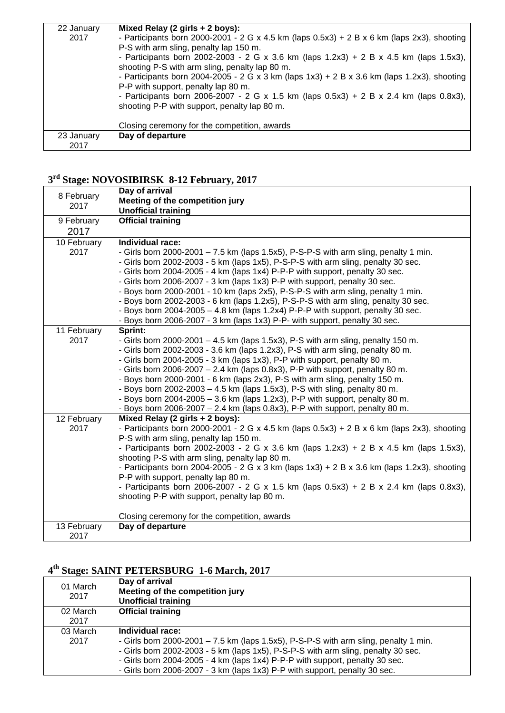| 22 January | Mixed Relay (2 girls + 2 boys):                                                                |  |  |  |  |
|------------|------------------------------------------------------------------------------------------------|--|--|--|--|
| 2017       | - Participants born 2000-2001 - 2 G x 4.5 km (laps $0.5x3$ ) + 2 B x 6 km (laps 2x3), shooting |  |  |  |  |
|            | P-S with arm sling, penalty lap 150 m.                                                         |  |  |  |  |
|            | - Participants born 2002-2003 - 2 G x 3.6 km (laps $1.2x3$ ) + 2 B x 4.5 km (laps $1.5x3$ ),   |  |  |  |  |
|            | shooting P-S with arm sling, penalty lap 80 m.                                                 |  |  |  |  |
|            | - Participants born 2004-2005 - 2 G x 3 km (laps $1x3$ ) + 2 B x 3.6 km (laps 1.2x3), shooting |  |  |  |  |
|            | P-P with support, penalty lap 80 m.                                                            |  |  |  |  |
|            | - Participants born 2006-2007 - 2 G x 1.5 km (laps $0.5x3$ ) + 2 B x 2.4 km (laps $0.8x3$ ),   |  |  |  |  |
|            | shooting P-P with support, penalty lap 80 m.                                                   |  |  |  |  |
|            |                                                                                                |  |  |  |  |
|            | Closing ceremony for the competition, awards                                                   |  |  |  |  |
| 23 January | Day of departure                                                                               |  |  |  |  |
| 2017       |                                                                                                |  |  |  |  |

## **3 rd Stage: NOVOSIBIRSK 8-12 February, 2017**

| 8 February  | Day of arrival                                                                                 |  |  |  |  |
|-------------|------------------------------------------------------------------------------------------------|--|--|--|--|
| 2017        | Meeting of the competition jury                                                                |  |  |  |  |
|             | <b>Unofficial training</b>                                                                     |  |  |  |  |
| 9 February  | <b>Official training</b>                                                                       |  |  |  |  |
| 2017        |                                                                                                |  |  |  |  |
| 10 February | Individual race:                                                                               |  |  |  |  |
| 2017        | - Girls born 2000-2001 - 7.5 km (laps 1.5x5), P-S-P-S with arm sling, penalty 1 min.           |  |  |  |  |
|             | - Girls born 2002-2003 - 5 km (laps 1x5), P-S-P-S with arm sling, penalty 30 sec.              |  |  |  |  |
|             | - Girls born 2004-2005 - 4 km (laps 1x4) P-P-P with support, penalty 30 sec.                   |  |  |  |  |
|             | - Girls born 2006-2007 - 3 km (laps 1x3) P-P with support, penalty 30 sec.                     |  |  |  |  |
|             | - Boys born 2000-2001 - 10 km (laps 2x5), P-S-P-S with arm sling, penalty 1 min.               |  |  |  |  |
|             | - Boys born 2002-2003 - 6 km (laps 1.2x5), P-S-P-S with arm sling, penalty 30 sec.             |  |  |  |  |
|             | - Boys born 2004-2005 - 4.8 km (laps 1.2x4) P-P-P with support, penalty 30 sec.                |  |  |  |  |
|             | - Boys born 2006-2007 - 3 km (laps 1x3) P-P- with support, penalty 30 sec.                     |  |  |  |  |
| 11 February | Sprint:                                                                                        |  |  |  |  |
| 2017        | - Girls born 2000-2001 $-$ 4.5 km (laps 1.5x3), P-S with arm sling, penalty 150 m.             |  |  |  |  |
|             | - Girls born 2002-2003 - 3.6 km (laps 1.2x3), P-S with arm sling, penalty 80 m.                |  |  |  |  |
|             | - Girls born 2004-2005 - 3 km (laps 1x3), P-P with support, penalty 80 m.                      |  |  |  |  |
|             | - Girls born 2006-2007 - 2.4 km (laps 0.8x3), P-P with support, penalty 80 m.                  |  |  |  |  |
|             | - Boys born 2000-2001 - 6 km (laps 2x3), P-S with arm sling, penalty 150 m.                    |  |  |  |  |
|             | - Bovs born 2002-2003 - 4.5 km (laps 1.5x3), P-S with sling, penalty 80 m.                     |  |  |  |  |
|             | - Boys born 2004-2005 - 3.6 km (laps 1.2x3), P-P with support, penalty 80 m.                   |  |  |  |  |
|             | - Boys born 2006-2007 $-$ 2.4 km (laps 0.8x3), P-P with support, penalty 80 m.                 |  |  |  |  |
| 12 February | Mixed Relay (2 girls + 2 boys):                                                                |  |  |  |  |
| 2017        | - Participants born 2000-2001 - 2 G x 4.5 km (laps 0.5x3) + 2 B x 6 km (laps 2x3), shooting    |  |  |  |  |
|             | P-S with arm sling, penalty lap 150 m.                                                         |  |  |  |  |
|             | - Participants born 2002-2003 - 2 G x 3.6 km (laps 1.2x3) + 2 B x 4.5 km (laps 1.5x3),         |  |  |  |  |
|             | shooting P-S with arm sling, penalty lap 80 m.                                                 |  |  |  |  |
|             | - Participants born 2004-2005 - 2 G x 3 km (laps $1x3$ ) + 2 B x 3.6 km (laps 1.2x3), shooting |  |  |  |  |
|             | P-P with support, penalty lap 80 m.                                                            |  |  |  |  |
|             | - Participants born 2006-2007 - 2 G x 1.5 km (laps 0.5x3) + 2 B x 2.4 km (laps 0.8x3),         |  |  |  |  |
|             | shooting P-P with support, penalty lap 80 m.                                                   |  |  |  |  |
|             |                                                                                                |  |  |  |  |
|             | Closing ceremony for the competition, awards                                                   |  |  |  |  |
| 13 February | Day of departure                                                                               |  |  |  |  |
| 2017        |                                                                                                |  |  |  |  |

## **4 th Stage: SAINT PETERSBURG 1-6 March, 2017**

| 01 March<br>2017 | Day of arrival<br>Meeting of the competition jury<br><b>Unofficial training</b>      |
|------------------|--------------------------------------------------------------------------------------|
| 02 March         | <b>Official training</b>                                                             |
| 2017             |                                                                                      |
| 03 March         | Individual race:                                                                     |
| 2017             | - Girls born 2000-2001 - 7.5 km (laps 1.5x5), P-S-P-S with arm sling, penalty 1 min. |
|                  | - Girls born 2002-2003 - 5 km (laps 1x5), P-S-P-S with arm sling, penalty 30 sec.    |
|                  | - Girls born 2004-2005 - 4 km (laps 1x4) P-P-P with support, penalty 30 sec.         |
|                  | - Girls born 2006-2007 - 3 km (laps 1x3) P-P with support, penalty 30 sec.           |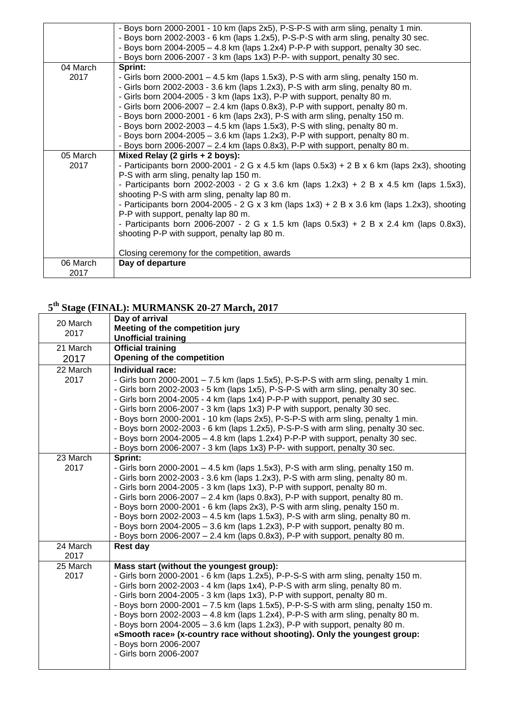|                  | - Boys born 2000-2001 - 10 km (laps 2x5), P-S-P-S with arm sling, penalty 1 min.<br>- Boys born 2002-2003 - 6 km (laps 1.2x5), P-S-P-S with arm sling, penalty 30 sec.<br>- Boys born 2004-2005 - 4.8 km (laps 1.2x4) P-P-P with support, penalty 30 sec. |
|------------------|-----------------------------------------------------------------------------------------------------------------------------------------------------------------------------------------------------------------------------------------------------------|
|                  | - Boys born 2006-2007 - 3 km (laps 1x3) P-P- with support, penalty 30 sec.                                                                                                                                                                                |
| 04 March         | Sprint:                                                                                                                                                                                                                                                   |
| 2017             | - Girls born 2000-2001 $-$ 4.5 km (laps 1.5x3), P-S with arm sling, penalty 150 m.                                                                                                                                                                        |
|                  | - Girls born 2002-2003 - 3.6 km (laps 1.2x3), P-S with arm sling, penalty 80 m.                                                                                                                                                                           |
|                  | - Girls born 2004-2005 - 3 km (laps 1x3), P-P with support, penalty 80 m.                                                                                                                                                                                 |
|                  | - Girls born 2006-2007 - 2.4 km (laps 0.8x3), P-P with support, penalty 80 m.                                                                                                                                                                             |
|                  | - Boys born 2000-2001 - 6 km (laps 2x3), P-S with arm sling, penalty 150 m.                                                                                                                                                                               |
|                  | - Boys born 2002-2003 - 4.5 km (laps 1.5x3), P-S with sling, penalty 80 m.                                                                                                                                                                                |
|                  | - Boys born 2004-2005 $-$ 3.6 km (laps 1.2x3), P-P with support, penalty 80 m.                                                                                                                                                                            |
|                  | - Boys born 2006-2007 $-$ 2.4 km (laps 0.8x3), P-P with support, penalty 80 m.                                                                                                                                                                            |
| 05 March         | Mixed Relay (2 girls + 2 boys):                                                                                                                                                                                                                           |
|                  |                                                                                                                                                                                                                                                           |
| 2017             | - Participants born 2000-2001 - 2 G x 4.5 km (laps $0.5x3$ ) + 2 B x 6 km (laps 2x3), shooting                                                                                                                                                            |
|                  | P-S with arm sling, penalty lap 150 m.                                                                                                                                                                                                                    |
|                  | - Participants born 2002-2003 - 2 G x 3.6 km (laps 1.2x3) + 2 B x 4.5 km (laps 1.5x3),                                                                                                                                                                    |
|                  | shooting P-S with arm sling, penalty lap 80 m.                                                                                                                                                                                                            |
|                  | - Participants born 2004-2005 - 2 G x 3 km (laps 1x3) + 2 B x 3.6 km (laps 1.2x3), shooting                                                                                                                                                               |
|                  | P-P with support, penalty lap 80 m.                                                                                                                                                                                                                       |
|                  | - Participants born 2006-2007 - 2 G x 1.5 km (laps 0.5x3) + 2 B x 2.4 km (laps 0.8x3),                                                                                                                                                                    |
|                  | shooting P-P with support, penalty lap 80 m.                                                                                                                                                                                                              |
|                  |                                                                                                                                                                                                                                                           |
|                  | Closing ceremony for the competition, awards                                                                                                                                                                                                              |
| 06 March<br>2017 | Day of departure                                                                                                                                                                                                                                          |

## **5 th Stage (FINAL): MURMANSK 20-27 March, 2017**

| 20 March<br>2017 | Day of arrival<br>Meeting of the competition jury<br><b>Unofficial training</b>                                                                                                                                                                                                                                                                                                                                                                                                                                                                                                                                                                                                                        |
|------------------|--------------------------------------------------------------------------------------------------------------------------------------------------------------------------------------------------------------------------------------------------------------------------------------------------------------------------------------------------------------------------------------------------------------------------------------------------------------------------------------------------------------------------------------------------------------------------------------------------------------------------------------------------------------------------------------------------------|
| 21 March<br>2017 | <b>Official training</b><br>Opening of the competition                                                                                                                                                                                                                                                                                                                                                                                                                                                                                                                                                                                                                                                 |
| 22 March<br>2017 | Individual race:<br>- Girls born 2000-2001 - 7.5 km (laps 1.5x5), P-S-P-S with arm sling, penalty 1 min.<br>- Girls born 2002-2003 - 5 km (laps 1x5), P-S-P-S with arm sling, penalty 30 sec.<br>- Girls born 2004-2005 - 4 km (laps 1x4) P-P-P with support, penalty 30 sec.<br>- Girls born 2006-2007 - 3 km (laps 1x3) P-P with support, penalty 30 sec.<br>- Boys born 2000-2001 - 10 km (laps 2x5), P-S-P-S with arm sling, penalty 1 min.<br>- Boys born 2002-2003 - 6 km (laps 1.2x5), P-S-P-S with arm sling, penalty 30 sec.<br>- Boys born 2004-2005 - 4.8 km (laps 1.2x4) P-P-P with support, penalty 30 sec.<br>- Boys born 2006-2007 - 3 km (laps 1x3) P-P- with support, penalty 30 sec. |
| 23 March<br>2017 | Sprint:<br>- Girls born 2000-2001 $-$ 4.5 km (laps 1.5x3), P-S with arm sling, penalty 150 m.<br>- Girls born 2002-2003 - 3.6 km (laps 1.2x3), P-S with arm sling, penalty 80 m.<br>- Girls born 2004-2005 - 3 km (laps 1x3), P-P with support, penalty 80 m.<br>- Girls born 2006-2007 - 2.4 km (laps 0.8x3), P-P with support, penalty 80 m.<br>- Boys born 2000-2001 - 6 km (laps 2x3), P-S with arm sling, penalty 150 m.<br>- Boys born 2002-2003 - 4.5 km (laps 1.5x3), P-S with arm sling, penalty 80 m.<br>- Boys born 2004-2005 $-$ 3.6 km (laps 1.2x3), P-P with support, penalty 80 m.<br>- Boys born 2006-2007 $-$ 2.4 km (laps 0.8x3), P-P with support, penalty 80 m.                    |
| 24 March<br>2017 | <b>Rest day</b>                                                                                                                                                                                                                                                                                                                                                                                                                                                                                                                                                                                                                                                                                        |
| 25 March<br>2017 | Mass start (without the youngest group):<br>- Girls born 2000-2001 - 6 km (laps 1.2x5), P-P-S-S with arm sling, penalty 150 m.<br>- Girls born 2002-2003 - 4 km (laps 1x4), P-P-S with arm sling, penalty 80 m.<br>- Girls born 2004-2005 - 3 km (laps 1x3), P-P with support, penalty 80 m.<br>- Boys born 2000-2001 - 7.5 km (laps 1.5x5), P-P-S-S with arm sling, penalty 150 m.<br>- Boys born 2002-2003 - 4.8 km (laps 1.2x4), P-P-S with arm sling, penalty 80 m.<br>- Boys born 2004-2005 $-$ 3.6 km (laps 1.2x3), P-P with support, penalty 80 m.<br>«Smooth race» (x-country race without shooting). Only the youngest group:<br>- Boys born 2006-2007<br>- Girls born 2006-2007              |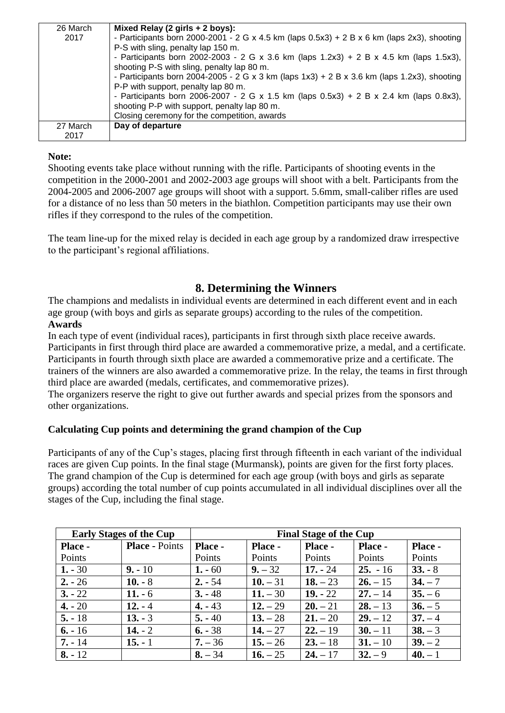| 26 March | Mixed Relay (2 girls + 2 boys):                                                                |  |  |  |
|----------|------------------------------------------------------------------------------------------------|--|--|--|
| 2017     | - Participants born 2000-2001 - 2 G x 4.5 km (laps $0.5x3$ ) + 2 B x 6 km (laps 2x3), shooting |  |  |  |
|          | P-S with sling, penalty lap 150 m.                                                             |  |  |  |
|          | - Participants born 2002-2003 - 2 G x 3.6 km (laps $1.2x3$ ) + 2 B x 4.5 km (laps $1.5x3$ ),   |  |  |  |
|          | shooting P-S with sling, penalty lap 80 m.                                                     |  |  |  |
|          | - Participants born 2004-2005 - 2 G x 3 km (laps $1x3$ ) + 2 B x 3.6 km (laps 1.2x3), shooting |  |  |  |
|          | P-P with support, penalty lap 80 m.                                                            |  |  |  |
|          | - Participants born 2006-2007 - 2 G x 1.5 km (laps $0.5x3$ ) + 2 B x 2.4 km (laps $0.8x3$ ),   |  |  |  |
|          | shooting P-P with support, penalty lap 80 m.                                                   |  |  |  |
|          | Closing ceremony for the competition, awards                                                   |  |  |  |
| 27 March | Day of departure                                                                               |  |  |  |
| 2017     |                                                                                                |  |  |  |

#### **Note:**

Shooting events take place without running with the rifle. Participants of shooting events in the competition in the 2000-2001 and 2002-2003 age groups will shoot with a belt. Participants from the 2004-2005 and 2006-2007 age groups will shoot with a support. 5.6mm, small-caliber rifles are used for a distance of no less than 50 meters in the biathlon. Competition participants may use their own rifles if they correspond to the rules of the competition.

The team line-up for the mixed relay is decided in each age group by a randomized draw irrespective to the participant's regional affiliations.

## **8. Determining the Winners**

The champions and medalists in individual events are determined in each different event and in each age group (with boys and girls as separate groups) according to the rules of the competition. **Awards**

In each type of event (individual races), participants in first through sixth place receive awards. Participants in first through third place are awarded a commemorative prize, a medal, and a certificate. Participants in fourth through sixth place are awarded a commemorative prize and a certificate. The trainers of the winners are also awarded a commemorative prize. In the relay, the teams in first through third place are awarded (medals, certificates, and commemorative prizes).

The organizers reserve the right to give out further awards and special prizes from the sponsors and other organizations.

#### **Calculating Cup points and determining the grand champion of the Cup**

Participants of any of the Cup's stages, placing first through fifteenth in each variant of the individual races are given Cup points. In the final stage (Murmansk), points are given for the first forty places. The grand champion of the Cup is determined for each age group (with boys and girls as separate groups) according the total number of cup points accumulated in all individual disciplines over all the stages of the Cup, including the final stage.

| <b>Early Stages of the Cup</b> |                       | <b>Final Stage of the Cup</b> |            |            |            |           |
|--------------------------------|-----------------------|-------------------------------|------------|------------|------------|-----------|
| <b>Place -</b>                 | <b>Place - Points</b> | Place -                       | Place -    | Place -    | Place -    | Place -   |
| Points                         |                       | Points                        | Points     | Points     | Points     | Points    |
| $1. - 30$                      | $9. - 10$             | $1. - 60$                     | $9. - 32$  | $17. - 24$ | $25. - 16$ | $33. - 8$ |
| $2. - 26$                      | $10. - 8$             | $2. - 54$                     | $10. - 31$ | $18. - 23$ | $26. - 15$ | $34. - 7$ |
| $3. - 22$                      | $11.-6$               | $3. -48$                      | $11. - 30$ | $19. - 22$ | $27. - 14$ | $35 - 6$  |
| $4. - 20$                      | $12. - 4$             | $4. - 43$                     | $12. - 29$ | $20. - 21$ | $28. - 13$ | $36. - 5$ |
| $5. - 18$                      | $13. - 3$             | $5. -40$                      | $13. - 28$ | $21. - 20$ | $29. - 12$ | $37. - 4$ |
| $6. - 16$                      | $14. - 2$             | $6. - 38$                     | $14. - 27$ | $22. - 19$ | $30. - 11$ | $38. - 3$ |
| $7. - 14$                      | $15. - 1$             | $7. - 36$                     | $15. - 26$ | $23 - 18$  | $31 - 10$  | $39. - 2$ |
| $8. - 12$                      |                       | $8. - 34$                     | $16. - 25$ | $24. - 17$ | $32 - 9$   | $40. - 1$ |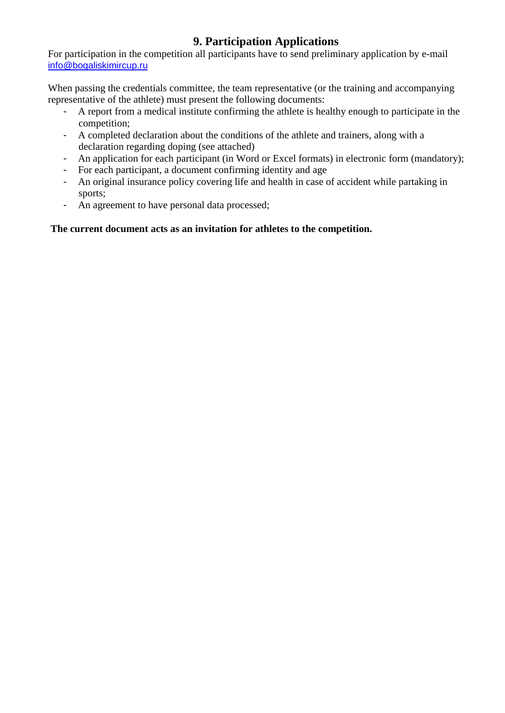# **9. Participation Applications**

For participation in the competition all participants have to send preliminary application by e-mail [info@bogaliskimircup.ru](mailto:info@bogaliskimircup.ru)

When passing the credentials committee, the team representative (or the training and accompanying representative of the athlete) must present the following documents:

- A report from a medical institute confirming the athlete is healthy enough to participate in the competition;
- A completed declaration about the conditions of the athlete and trainers, along with a declaration regarding doping (see attached)
- An application for each participant (in Word or Excel formats) in electronic form (mandatory);
- For each participant, a document confirming identity and age
- An original insurance policy covering life and health in case of accident while partaking in sports;
- An agreement to have personal data processed;

## **The current document acts as an invitation for athletes to the competition.**